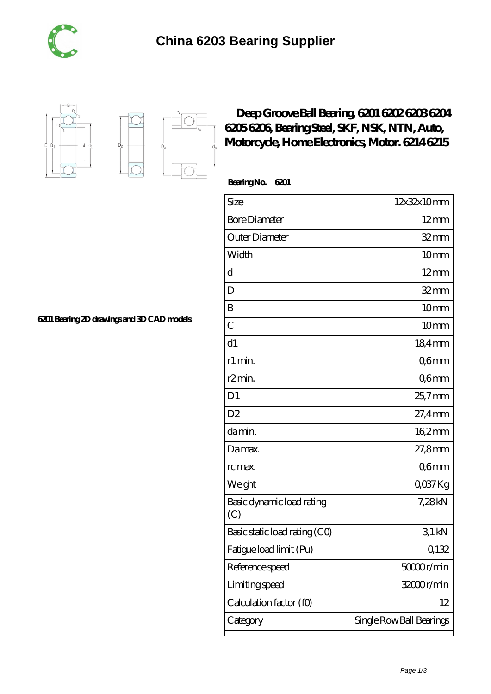





## **[Deep Groove Ball Bearing, 6201 6202 6203 6204](https://m.tuto-webmaster.com/nsk-6204-bearing/594075.html) [6205 6206, Bearing Steel, SKF, NSK, NTN, Auto,](https://m.tuto-webmaster.com/nsk-6204-bearing/594075.html) [Motorcycle, Home Electronics, Motor. 6214 6215](https://m.tuto-webmaster.com/nsk-6204-bearing/594075.html)**

 **Bearing No. 6201**

ľ

| Size                             | 12x32x10mm               |
|----------------------------------|--------------------------|
| <b>Bore Diameter</b>             | $12 \text{mm}$           |
| Outer Diameter                   | $32$ mm                  |
| Width                            | 10mm                     |
| d                                | $12 \text{mm}$           |
| D                                | $32$ mm                  |
| B                                | 10 <sub>mm</sub>         |
| $\overline{C}$                   | 10 <sub>mm</sub>         |
| d1                               | 18,4mm                   |
| r1 min.                          | Q6mm                     |
| r <sub>2</sub> min.              | Q6mm                     |
| D <sub>1</sub>                   | $25.7$ mm                |
| D <sub>2</sub>                   | 27,4mm                   |
| da min.                          | $162$ mm                 |
| Damax.                           | $27,8$ mm                |
| rc max.                          | Q6mm                     |
| Weight                           | QO37Kg                   |
| Basic dynamic load rating<br>(C) | 7,28kN                   |
| Basic static load rating (CO)    | 31kN                     |
| Fatigue load limit (Pu)          | Q132                     |
| Reference speed                  | 50000r/min               |
| Limiting speed                   | 32000r/min               |
| Calculation factor (f0)          | 12                       |
| Category                         | Single Row Ball Bearings |

**[6201 Bearing 2D drawings and 3D CAD models](https://m.tuto-webmaster.com/pic-594075.html)**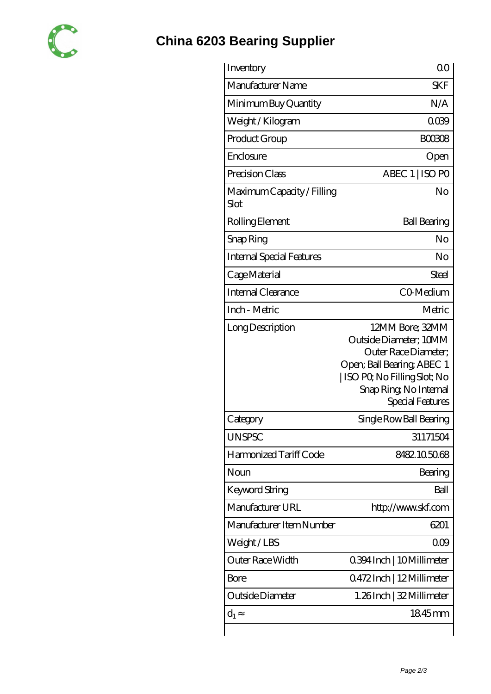

## **[China 6203 Bearing Supplier](https://m.tuto-webmaster.com)**

| Inventory                          | 00                                                                                                                                                                          |
|------------------------------------|-----------------------------------------------------------------------------------------------------------------------------------------------------------------------------|
| Manufacturer Name                  | <b>SKF</b>                                                                                                                                                                  |
| Minimum Buy Quantity               | N/A                                                                                                                                                                         |
| Weight / Kilogram                  | 0039                                                                                                                                                                        |
| Product Group                      | <b>BOO308</b>                                                                                                                                                               |
| Enclosure                          | Open                                                                                                                                                                        |
| Precision Class                    | ABEC 1   ISO PO                                                                                                                                                             |
| Maximum Capacity / Filling<br>Slot | No                                                                                                                                                                          |
| Rolling Element                    | <b>Ball Bearing</b>                                                                                                                                                         |
| Snap Ring                          | No                                                                                                                                                                          |
| Internal Special Features          | No                                                                                                                                                                          |
| Cage Material                      | Steel                                                                                                                                                                       |
| <b>Internal Clearance</b>          | CO-Medium                                                                                                                                                                   |
| Inch - Metric                      | Metric                                                                                                                                                                      |
| Long Description                   | 12MM Bore; 32MM<br>Outside Diameter; 10MM<br>Outer Race Diameter;<br>Open; Ball Bearing; ABEC 1<br>ISO PQ No Filling Slot; No<br>Snap Ring, No Internal<br>Special Features |
| Category                           | Single Row Ball Bearing                                                                                                                                                     |
| <b>UNSPSC</b>                      | 31171504                                                                                                                                                                    |
| Harmonized Tariff Code             | 8482.105068                                                                                                                                                                 |
| Noun                               | Bearing                                                                                                                                                                     |
| Keyword String                     | Ball                                                                                                                                                                        |
| Manufacturer URL                   | http://www.skf.com                                                                                                                                                          |
| Manufacturer Item Number           | 6201                                                                                                                                                                        |
| Weight / LBS                       | 000                                                                                                                                                                         |
| Outer Race Width                   | 0.394 Inch   10 Millimeter                                                                                                                                                  |
| Bore                               | 0472Inch   12Millimeter                                                                                                                                                     |
| Outside Diameter                   | 1.26Inch   32 Millimeter                                                                                                                                                    |
| $d_1$                              | 1845mm                                                                                                                                                                      |
|                                    |                                                                                                                                                                             |